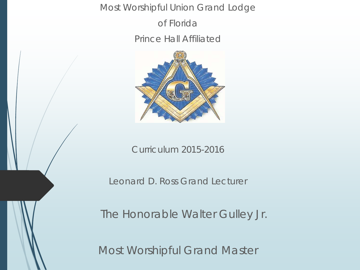Most Worshipful Union Grand Lodge

of Florida

Prince Hall Affiliated



Curriculum 2015-2016

Leonard D. Ross Grand Lecturer

The Honorable Walter Gulley Jr.

Most Worshipful Grand Master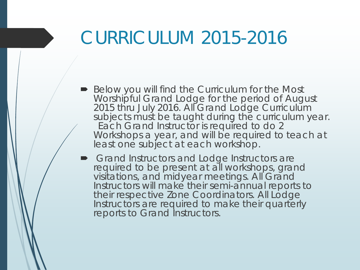# CURRICULUM 2015-2016

- Below you will find the Curriculum for the Most Worshipful Grand Lodge for the period of August 2015 thru July 2016. All Grand Lodge Curriculum subjects must be taught during the curriculum year. Each Grand Instructor is required to do 2 Workshops a year, and will be required to teach at least one subject at each workshop.
- **Grand Instructors and Lodge Instructors are** required to be present at all workshops, grand visitations, and midyear meetings. All Grand Instructors will make their semi-annual reports to their respective Zone Coordinators. All Lodge Instructors are required to make their quarterly reports to Grand Instructors.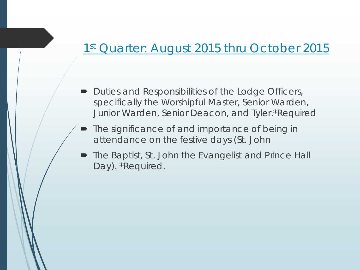### 1st Quarter: August 2015 thru October 2015

- Duties and Responsibilities of the Lodge Officers, specifically the Worshipful Master, Senior Warden, Junior Warden, Senior Deacon, and Tyler.*\*Required*
- The significance of and importance of being in attendance on the festive days (St. John
- The Baptist, St. John the Evangelist and Prince Hall Day). *\*Required.*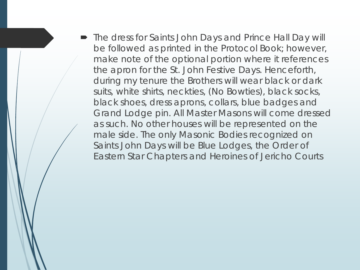The dress for Saints John Days and Prince Hall Day will be followed as printed in the Protocol Book; however, make note of the optional portion where it references the apron for the St. John Festive Days. Henceforth, during my tenure the Brothers will wear black or dark suits, white shirts, neckties, (No Bowties), black socks, black shoes, dress aprons, collars, blue badges and Grand Lodge pin. All Master Masons will come dressed as such. No other houses will be represented on the male side. The only Masonic Bodies recognized on Saints John Days will be Blue Lodges, the Order of Eastern Star Chapters and Heroines of Jericho Courts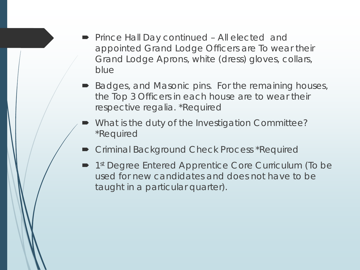- Prince Hall Day continued All elected and appointed Grand Lodge Officers are To wear their Grand Lodge Aprons, white (dress) gloves, collars, blue
- Badges, and Masonic pins. For the remaining houses, the Top 3 Officers in each house are to wear their respective regalia. *\*Required*
- What is the duty of the Investigation Committee? \*Required
- **Criminal Background Check Process \*Required**
- 1<sup>st</sup> Degree Entered Apprentice Core Curriculum (To be used for new candidates and does not have to be taught in a particular quarter).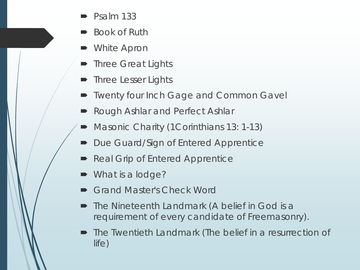- Psalm 133
- Book of Ruth
- White Apron
- Three Great Lights
- Three Lesser Lights
- Twenty four Inch Gage and Common Gavel
- Rough Ashlar and Perfect Ashlar
- Masonic Charity (1Corinthians 13: 1-13)
- Due Guard/Sign of Entered Apprentice
- Real Grip of Entered Apprentice
- What is a lodge?
- Grand Master's Check Word
- The Nineteenth Landmark (A belief in God is a requirement of every candidate of Freemasonry).
- The Twentieth Landmark (The belief in a resurrection of life)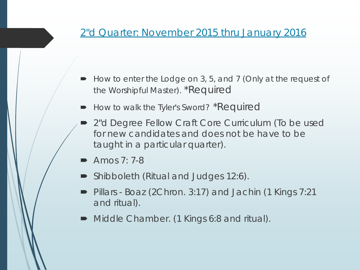#### 2"d Quarter: November 2015 thru January 2016

- How to enter the Lodge on 3, 5, and 7 (Only at the request of the Worshipful Master). *\*Required*
- How to walk the Tyler's Sword? *\*Required*
- 2"d Degree Fellow Craft Core Curriculum (To be used for new candidates and does not be have to be taught in a particular quarter).
- Amos 7: 7-8
- Shibboleth (Ritual and Judges 12:6).
- Pillars Boaz (2Chron. 3:17) and Jachin (1 Kings 7:21 and ritual).
- Middle Chamber. (1 Kings 6:8 and ritual).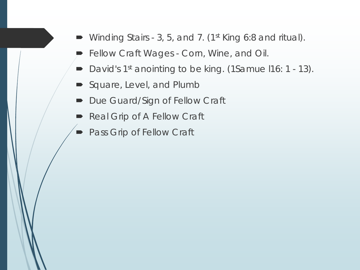- Winding Stairs 3, 5, and 7. (1st King 6:8 and ritual).
- Fellow Craft Wages Corn, Wine, and Oil.
- David's 1<sup>st</sup> anointing to be king. (1Samue I16: 1 13).
- Square, Level, and Plumb
- Due Guard/Sign of Fellow Craft
- Real Grip of A Fellow Craft
- **Pass Grip of Fellow Craft**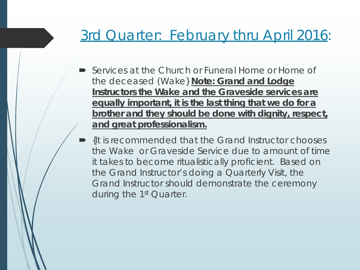## 3rd Quarter: February thru April 2016:

- Services at the Church or Funeral Home or Home of the deceased (Wake} **Note: Grand and Lodge Instructors the Wake and the Graveside services are equally important, it is the last thing that we do for a brother and they should be done with dignity, respect, and great professionalism.**
- {It is recommended that the Grand Instructor chooses the Wake or Graveside Service due to amount of time it takes to become ritualistically proficient. Based on the Grand Instructor's doing a Quarterly Visit, the Grand Instructor should demonstrate the ceremony during the 1<sup>st</sup> Quarter.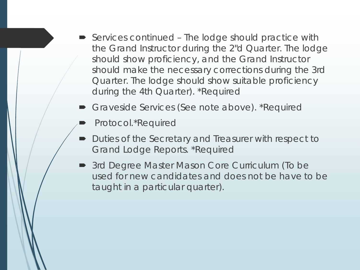- Services continued The lodge should practice with the Grand Instructor during the 2"d Quarter. The lodge should show proficiency, and the Grand Instructor should make the necessary corrections during the 3rd Quarter. The lodge should show suitable proficiency during the 4th Quarter). *\*Required*
- Graveside Services (See note above). *\*Required*
- Protocol.\*Required
- Duties of the Secretary and Treasurer with respect to Grand Lodge Reports. \*Required
- 3rd Degree Master Mason Core Curriculum (To be used for new candidates and does not be have to be taught in a particular quarter).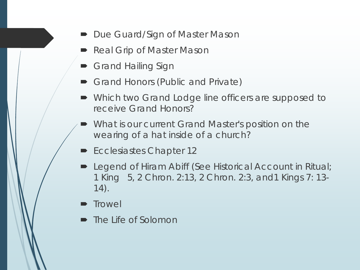- Due Guard/Sign of Master Mason
- Real Grip of Master Mason
- **Grand Hailing Sign**
- Grand Honors (Public and Private)
- Which two Grand Lodge line officers are supposed to receive Grand Honors?
- What is our current Grand Master's position on the wearing of a hat inside of a church?
- Ecclesiastes Chapter 12
- **Dealing Legend of Hiram Abiff (See Historical Account in Ritual;** 1 King 5, 2 Chron. 2:13, 2 Chron. 2:3, and1 Kings 7: 13- 14).
- **Trowel**
- The Life of Solomon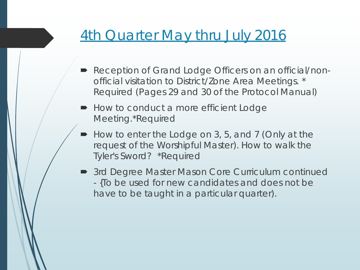## **4th Quarter May thru July 2016**

- Reception of Grand Lodge Officers on an official/nonofficial visitation to District/Zone Area Meetings. \* Required (Pages 29 and 30 of the Protocol Manual)
- How to conduct a more efficient Lodge Meeting.\*Required
- How to enter the Lodge on 3, 5, and 7 (Only at the request of the Worshipful Master). How to walk the Tyler's Sword? *\*Required*
- 3rd Degree Master Mason Core Curriculum continued - {To be used for new candidates and does not be have to be taught in a particular quarter).